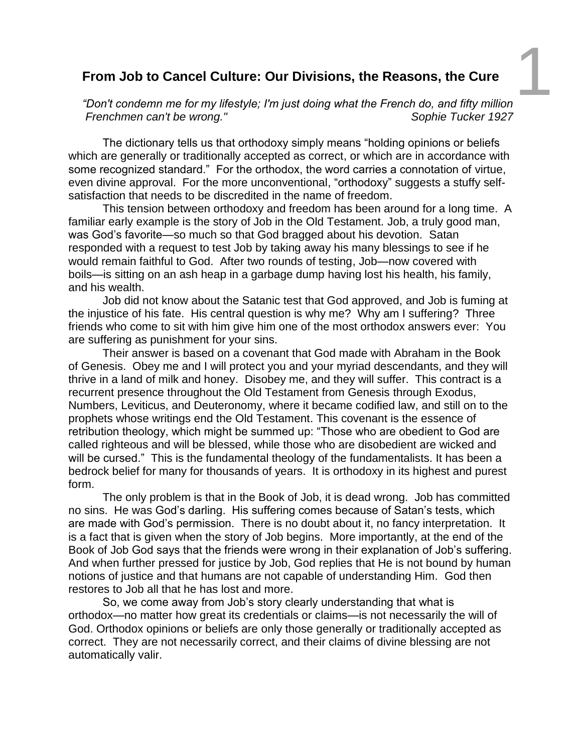## **From Job to C ancel Culture: Our Divisions, the Reasons, the Cure**

*"Don't condemn me for my lifestyle; I'm just doing what the French do, and fifty million* 1 *Frenchmen can't be wrong." Sophie Tucker 1927*

The dictionary tells us that orthodoxy simply means "holding opinions or beliefs which are generally or traditionally accepted as correct, or which are in accordance with some recognized standard." For the orthodox, the word carries a connotation of virtue, even divine approval. For the more unconventional, "orthodoxy" suggests a stuffy selfsatisfaction that needs to be discredited in the name of freedom.

This tension between orthodoxy and freedom has been around for a long time. A familiar early example is the story of Job in the Old Testament. Job, a truly good man, was God's favorite—so much so that God bragged about his devotion. Satan responded with a request to test Job by taking away his many blessings to see if he would remain faithful to God. After two rounds of testing, Job—now covered with boils—is sitting on an ash heap in a garbage dump having lost his health, his family, and his wealth.

Job did not know about the Satanic test that God approved, and Job is fuming at the injustice of his fate. His central question is why me? Why am I suffering? Three friends who come to sit with him give him one of the most orthodox answers ever: You are suffering as punishment for your sins.

Their answer is based on a covenant that God made with Abraham in the Book of Genesis. Obey me and I will protect you and your myriad descendants, and they will thrive in a land of milk and honey. Disobey me, and they will suffer. This contract is a recurrent presence throughout the Old Testament from Genesis through Exodus, Numbers, Leviticus, and Deuteronomy, where it became codified law, and still on to the prophets whose writings end the Old Testament. This covenant is the essence of retribution theology, which might be summed up: "Those who are obedient to God are called righteous and will be blessed, while those who are disobedient are wicked and will be cursed." This is the fundamental theology of the fundamentalists. It has been a bedrock belief for many for thousands of years. It is orthodoxy in its highest and purest form.

The only problem is that in the Book of Job, it is dead wrong. Job has committed no sins. He was God's darling. His suffering comes because of Satan's tests, which are made with God's permission. There is no doubt about it, no fancy interpretation. It is a fact that is given when the story of Job begins. More importantly, at the end of the Book of Job God says that the friends were wrong in their explanation of Job's suffering. And when further pressed for justice by Job, God replies that He is not bound by human notions of justice and that humans are not capable of understanding Him. God then restores to Job all that he has lost and more.

So, we come away from Job's story clearly understanding that what is orthodox—no matter how great its credentials or claims—is not necessarily the will of God. Orthodox opinions or beliefs are only those generally or traditionally accepted as correct. They are not necessarily correct, and their claims of divine blessing are not automatically valir.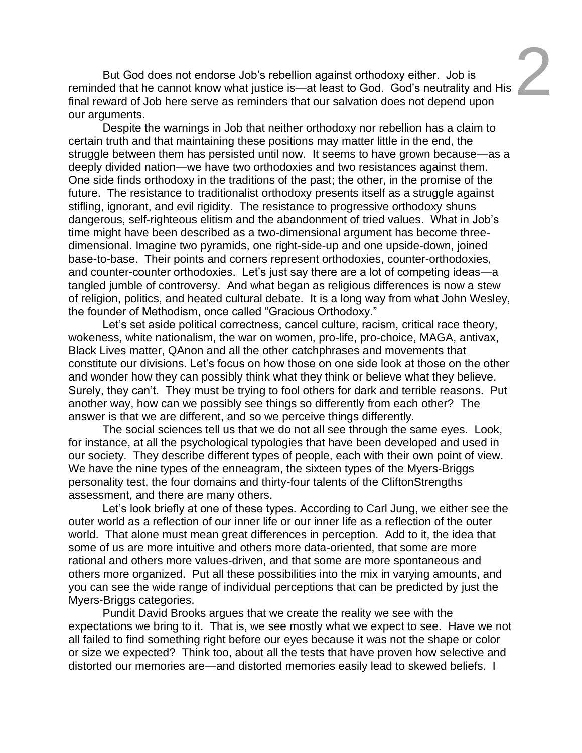$\frac{3}{2}$ <br>and His

reminded that he cannot know what justice is —at least to God. God's neutrality final reward of Job here serve as reminders that our salvation does not depend upon But God does not endorse Job's rebellion against orthodoxy either. Job is our arguments.

Despite the warnings in Job that neither orthodoxy nor rebellion has a claim to certain truth and that maintaining these positions may matter little in the end, the struggle between them has persisted until now. It seems to have grown because—as a deeply divided nation—we have two orthodoxies and two resistances against them. One side finds orthodoxy in the traditions of the past; the other, in the promise of the future. The resistance to traditionalist orthodoxy presents itself as a struggle against stifling, ignorant, and evil rigidity. The resistance to progressive orthodoxy shuns dangerous, self-righteous elitism and the abandonment of tried values. What in Job's time might have been described as a two-dimensional argument has become threedimensional. Imagine two pyramids, one right-side-up and one upside-down, joined base-to-base. Their points and corners represent orthodoxies, counter-orthodoxies, and counter-counter orthodoxies. Let's just say there are a lot of competing ideas—a tangled jumble of controversy. And what began as religious differences is now a stew of religion, politics, and heated cultural debate. It is a long way from what John Wesley, the founder of Methodism, once called "Gracious Orthodoxy."

Let's set aside political correctness, cancel culture, racism, critical race theory, wokeness, white nationalism, the war on women, pro-life, pro-choice, MAGA, antivax, Black Lives matter, QAnon and all the other catchphrases and movements that constitute our divisions. Let's focus on how those on one side look at those on the other and wonder how they can possibly think what they think or believe what they believe. Surely, they can't. They must be trying to fool others for dark and terrible reasons. Put another way, how can we possibly see things so differently from each other? The answer is that we are different, and so we perceive things differently.

The social sciences tell us that we do not all see through the same eyes. Look, for instance, at all the psychological typologies that have been developed and used in our society. They describe different types of people, each with their own point of view. We have the nine types of the enneagram, the sixteen types of the Myers-Briggs personality test, the four domains and thirty-four talents of the CliftonStrengths assessment, and there are many others.

Let's look briefly at one of these types. According to Carl Jung, we either see the outer world as a reflection of our inner life or our inner life as a reflection of the outer world. That alone must mean great differences in perception. Add to it, the idea that some of us are more intuitive and others more data-oriented, that some are more rational and others more values-driven, and that some are more spontaneous and others more organized. Put all these possibilities into the mix in varying amounts, and you can see the wide range of individual perceptions that can be predicted by just the Myers-Briggs categories.

Pundit David Brooks argues that we create the reality we see with the expectations we bring to it. That is, we see mostly what we expect to see. Have we not all failed to find something right before our eyes because it was not the shape or color or size we expected? Think too, about all the tests that have proven how selective and distorted our memories are—and distorted memories easily lead to skewed beliefs. I